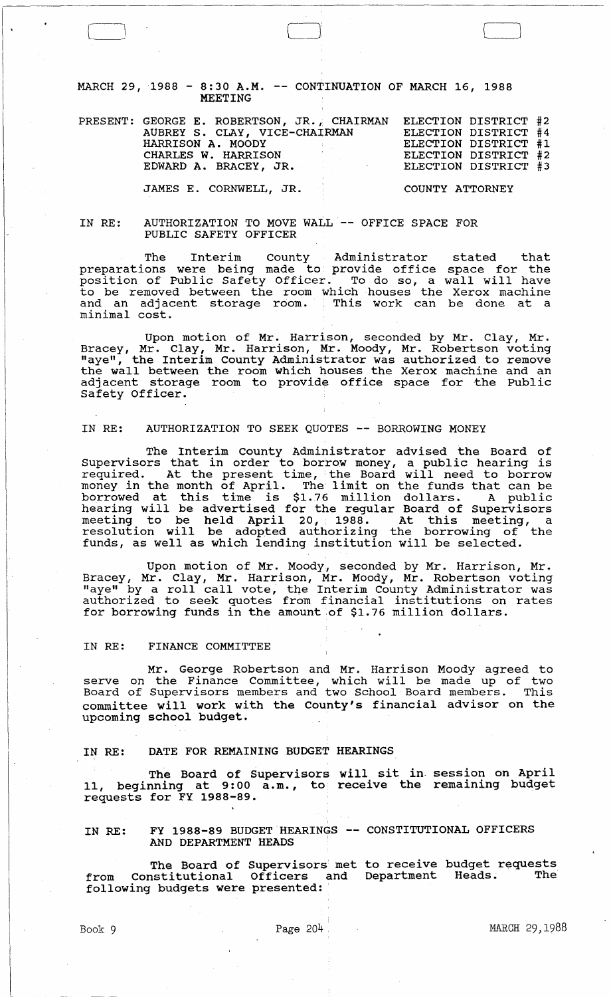MARCH 29, 1988 - 8:30 A.M. -- CONTINUATION OF MARCH 16, 1988 MEETING

| PRESENT: GEORGE E. ROBERTSON, JR., CHAIRMAN<br>AUBREY S. CLAY, VICE-CHAIRMAN<br>HARRISON A. MOODY<br>the company of the company of the<br>CHARLES W. HARRISON<br>EDWARD A. BRACEY, JR. | ELECTION DISTRICT #2<br>ELECTION DISTRICT #4<br>ELECTION DISTRICT #1<br>ELECTION DISTRICT #2<br>ELECTION DISTRICT #3 |
|----------------------------------------------------------------------------------------------------------------------------------------------------------------------------------------|----------------------------------------------------------------------------------------------------------------------|
| JAMES E. CORNWELL, JR.                                                                                                                                                                 | COUNTY ATTORNEY                                                                                                      |

#### IN RE: AUTHORIZATION TO MOVE WALL -- OFFICE SPACE FOR PUBLIC SAFETY OFFICER

The Interim County Administrator stated that preparations were being made to provide office space for the position of Public Safety Officer. To do so, a wall will have to be removed between the room which houses the Xerox machine and an adjacent storage room. This work can be done at a minimal cost.

Upon motion of Mr. Harrison, seconded by Mr. Clay, Mr. Bracey, Mr. Clay, Mr. Harrison, Mr. Moody, Mr. Robertson voting "aye", the Interim County Administrator was authorized to remove the wall between the room which houses the Xerox machine and an adjacent storage room to provide office space for the Public Safety Officer.

### IN RE: AUTHORIZATION TO SEEK QUOTES -- BORROWING MONEY

The Interim County Administrator advised the Board of Supervisors that in order to borrow money, a public hearing is required. At the present time, the Board will need to borrow money in the month of April. The limit on the funds that can be horrowed at this time is \$1.76 million dollars. A public hearing will be advertised for the regular Board of Supervisors meeting to be held April 20, 1988. At this meeting, a resolution will be adopted authorizing the borrowing of the funds, as well as which lending institution will be selected.

Upon motion of Mr. Moody, seconded by Mr. Harrison, Mr. Bracey, Mr. Clay, Mr. Harrison, Mr. Moody, Mr. Robertson voting "aye" by a roll call vote, the Interim County Administrator was arc by a foll call vote, the interim county nuministrator was for borrowing funds in the amount of \$1. 76 million dollars.

## IN RE: FINANCE COMMITTEE

 $\Box$ 

Mr. George Robertson and Mr. Harrison Moody agreed to serve on the Finance Committee, which will be made up of two Board of Supervisors members and two School Board members. This committee will work with the county's financial advisor on the upcoming school budget.

### IN RE: DATE FOR REMAINING BUDGET HEARINGS

The Board of Supervisors will sit in. session on April The Board of Supervisors with sic in Session on herical, beginning at 9:00 a.m., to receive the remaining budget requests for FY 1988-89.

# IN RE: FY 1988-89 BUDGET HEARINGS -- CONSTITUTIONAL OFFICERS AND DEPARTMENT HEADS

The Board of Supervisors met to receive budget requests<br>nstitutional Officers and Department Heads. The from Constitutional Officers and Department Heads. following budgets were presented: